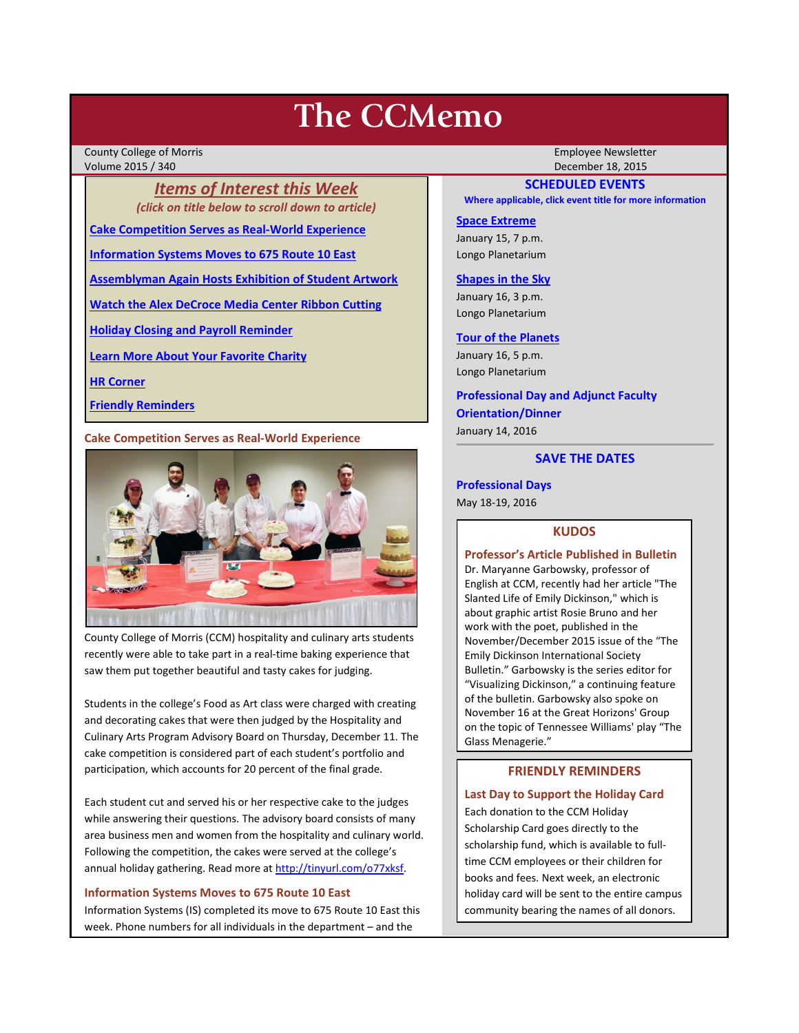# **The CCMemo**

County College of Morris Employee Newsletter Volume 2015 / 340 December 18, 2015

*Items of Interest this Week (click on title below to scroll down to article)*

**[Cake Competition Serves as Real-World Experience](#page-0-0)**

**[Information Systems Moves to 675 Route 10 East](#page-0-1)**

**[Assemblyman Again Hosts Exhibition of Student Artwork](#page-1-0)**

**[Watch the Alex DeCroce Media Center Ribbon Cutting](#page-1-1)**

**[Holiday Closing and Payroll Reminder](#page-2-0)**

**[Learn More About Your Favorite Charity](#page-2-1)**

**[HR Corner](#page-2-2)**

**[Friendly Reminders](#page-0-2)**

<span id="page-0-0"></span>**Cake Competition Serves as Real-World Experience** 



County College of Morris (CCM) hospitality and culinary arts students recently were able to take part in a real-time baking experience that saw them put together beautiful and tasty cakes for judging.

Students in the college's Food as Art class were charged with creating and decorating cakes that were then judged by the Hospitality and Culinary Arts Program Advisory Board on Thursday, December 11. The cake competition is considered part of each student's portfolio and participation, which accounts for 20 percent of the final grade.

Each student cut and served his or her respective cake to the judges while answering their questions. The advisory board consists of many area business men and women from the hospitality and culinary world. Following the competition, the cakes were served at the college's annual holiday gathering. Read more a[t http://tinyurl.com/o77xksf.](http://tinyurl.com/o77xksf)

# <span id="page-0-1"></span>**Information Systems Moves to 675 Route 10 East**

Information Systems (IS) completed its move to 675 Route 10 East this week. Phone numbers for all individuals in the department – and the

# **SCHEDULED EVENTS**

**Where applicable, click event title for more information**

## **[Space Extreme](http://www.ccm.edu/newsEvents/eventDetails.aspx?Channel=/Channels/Sitewide&WorkflowItemID=1874a4b0-0bcb-4ed1-a29e-7b4f8d25e45d)**

January 15, 7 p.m. Longo Planetarium

#### **[Shapes in the Sky](http://www.ccm.edu/newsEvents/eventDetails.aspx?Channel=/Channels/Sitewide&WorkflowItemID=1922c928-86d3-4e75-b6a2-fd618033989c)**

January 16, 3 p.m. Longo Planetarium

#### **[Tour of the Planets](http://www.ccm.edu/newsEvents/eventDetails.aspx?Channel=/Channels/Sitewide&WorkflowItemID=5834aa20-68ba-4fa2-a3ac-75b2311ba441)**

January 16, 5 p.m. Longo Planetarium

**Professional Day and Adjunct Faculty Orientation/Dinner** January 14, 2016

# **SAVE THE DATES**

**Professional Days** May 18-19, 2016

#### **KUDOS**

**Professor's Article Published in Bulletin** Dr. Maryanne Garbowsky, professor of English at CCM, recently had her article "The Slanted Life of Emily Dickinson," which is about graphic artist Rosie Bruno and her work with the poet, published in the November/December 2015 issue of the "The Emily Dickinson International Society Bulletin." Garbowsky is the series editor for "Visualizing Dickinson," a continuing feature of the bulletin. Garbowsky also spoke on November 16 at the Great Horizons' Group on the topic of Tennessee Williams' play "The Glass Menagerie."

## **FRIENDLY REMINDERS**

# <span id="page-0-2"></span>**Last Day to Support the Holiday Card**

Each donation to the CCM Holiday Scholarship Card goes directly to the scholarship fund, which is available to fulltime CCM employees or their children for books and fees. Next week, an electronic holiday card will be sent to the entire campus community bearing the names of all donors.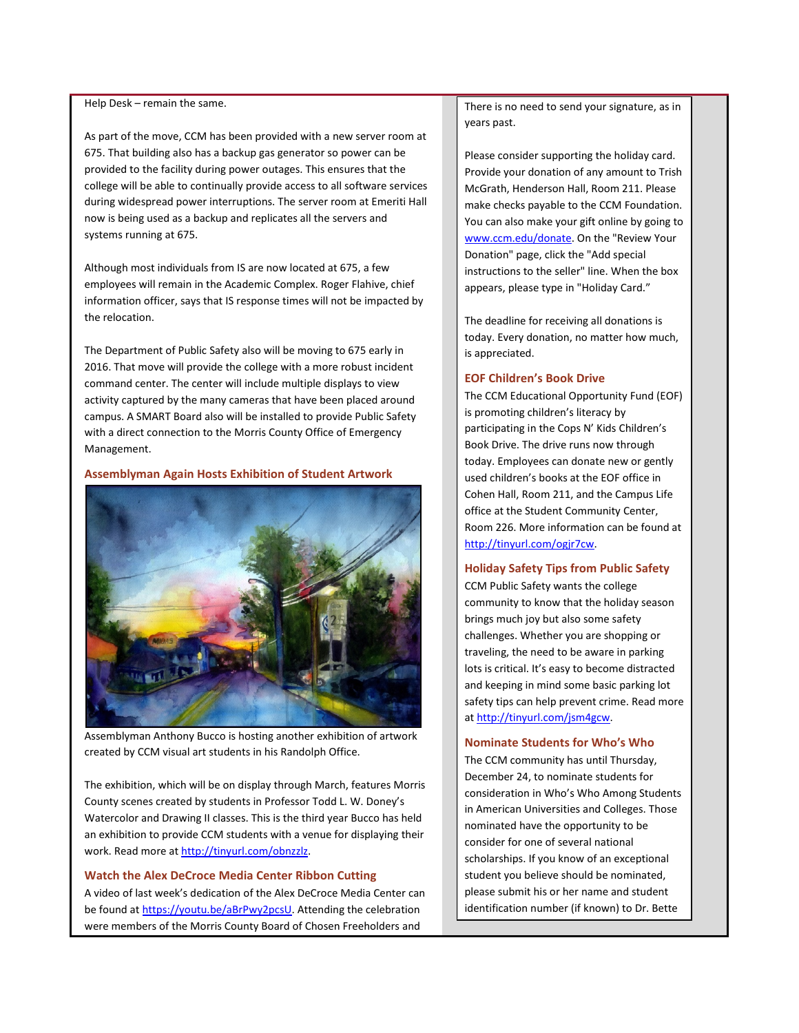#### Help Desk – remain the same.

As part of the move, CCM has been provided with a new server room at 675. That building also has a backup gas generator so power can be provided to the facility during power outages. This ensures that the college will be able to continually provide access to all software services during widespread power interruptions. The server room at Emeriti Hall now is being used as a backup and replicates all the servers and systems running at 675.

Although most individuals from IS are now located at 675, a few employees will remain in the Academic Complex. Roger Flahive, chief information officer, says that IS response times will not be impacted by the relocation.

The Department of Public Safety also will be moving to 675 early in 2016. That move will provide the college with a more robust incident command center. The center will include multiple displays to view activity captured by the many cameras that have been placed around campus. A SMART Board also will be installed to provide Public Safety with a direct connection to the Morris County Office of Emergency Management.

## <span id="page-1-0"></span>**Assemblyman Again Hosts Exhibition of Student Artwork**



Assemblyman Anthony Bucco is hosting another exhibition of artwork created by CCM visual art students in his Randolph Office.

The exhibition, which will be on display through March, features Morris County scenes created by students in Professor Todd L. W. Doney's Watercolor and Drawing II classes. This is the third year Bucco has held an exhibition to provide CCM students with a venue for displaying their work. Read more at [http://tinyurl.com/obnzzlz.](http://tinyurl.com/obnzzlz)

## <span id="page-1-1"></span>**Watch the Alex DeCroce Media Center Ribbon Cutting**

A video of last week's dedication of the Alex DeCroce Media Center can be found at [https://youtu.be/aBrPwy2pcsU.](https://youtu.be/aBrPwy2pcsU) Attending the celebration were members of the Morris County Board of Chosen Freeholders and

There is no need to send your signature, as in years past.

Please consider supporting the holiday card. Provide your donation of any amount to Trish McGrath, Henderson Hall, Room 211. Please make checks payable to the CCM Foundation. You can also make your gift online by going to [www.ccm.edu/donate.](http://www.ccm.edu/donate) On the "Review Your Donation" page, click the "Add special instructions to the seller" line. When the box appears, please type in "Holiday Card."

The deadline for receiving all donations is today. Every donation, no matter how much, is appreciated.

## **EOF Children's Book Drive**

The CCM Educational Opportunity Fund (EOF) is promoting children's literacy by participating in the Cops N' Kids Children's Book Drive. The drive runs now through today. Employees can donate new or gently used children's books at the EOF office in Cohen Hall, Room 211, and the Campus Life office at the Student Community Center, Room 226. More information can be found at [http://tinyurl.com/ogjr7cw.](http://tinyurl.com/ogjr7cw)

## **Holiday Safety Tips from Public Safety**

CCM Public Safety wants the college community to know that the holiday season brings much joy but also some safety challenges. Whether you are shopping or traveling, the need to be aware in parking lots is critical. It's easy to become distracted and keeping in mind some basic parking lot safety tips can help prevent crime. Read more a[t http://tinyurl.com/jsm4gcw.](http://tinyurl.com/jsm4gcw) 

## **Nominate Students for Who's Who**

The CCM community has until Thursday, December 24, to nominate students for consideration in Who's Who Among Students in American Universities and Colleges. Those nominated have the opportunity to be consider for one of several national scholarships. If you know of an exceptional student you believe should be nominated, please submit his or her name and student identification number (if known) to Dr. Bette